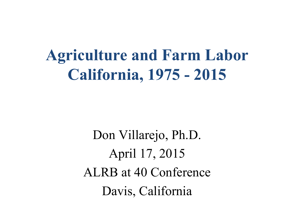**Agriculture and Farm Labor California, 1975 - 2015** 

> Don Villarejo, Ph.D. April 17, 2015 ALRB at 40 Conference Davis, California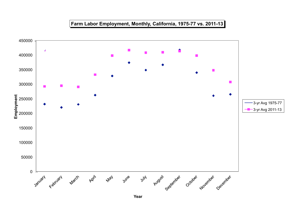## **Farm Labor Employment, Monthly, California, 1975-77 vs. 2011-13**



**Year**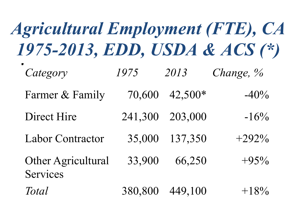| <b>Agricultural Employment (FTE), CA</b><br>1975-2013, EDD, USDA & ACS (*) |         |           |              |
|----------------------------------------------------------------------------|---------|-----------|--------------|
| Category                                                                   | 1975    | 2013      | Change, $\%$ |
| Farmer & Family                                                            | 70,600  | $42,500*$ | $-40\%$      |
| Direct Hire                                                                | 241,300 | 203,000   | $-16\%$      |
| <b>Labor Contractor</b>                                                    | 35,000  | 137,350   | $+292\%$     |
| <b>Other Agricultural</b><br><b>Services</b>                               | 33,900  | 66,250    | $+95%$       |
| <b>Total</b>                                                               | 380,800 | 449,100   | $+18\%$      |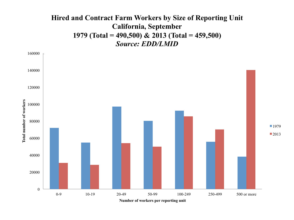## **Hired and Contract Farm Workers by Size of Reporting Unit California, September 1979 (Total = 490,500) & 2013 (Total = 459,500)**  *Source: EDD/LMID*

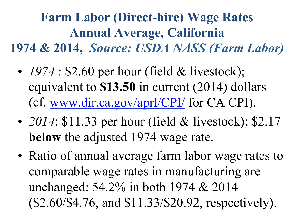**Farm Labor (Direct-hire) Wage Rates Annual Average, California 1974 & 2014,** *Source: USDA NASS (Farm Labor)*

- 1974 : \$2.60 per hour (field & livestock); equivalent to **\$13.50** in current (2014) dollars (cf. www.dir.ca.gov/aprl/CPI/ for CA CPI).
- 2014: \$11.33 per hour (field & livestock); \$2.17 **below** the adjusted 1974 wage rate.
- Ratio of annual average farm labor wage rates to comparable wage rates in manufacturing are unchanged: 54.2% in both 1974 & 2014 (\$2.60/\$4.76, and \$11.33/\$20.92, respectively).